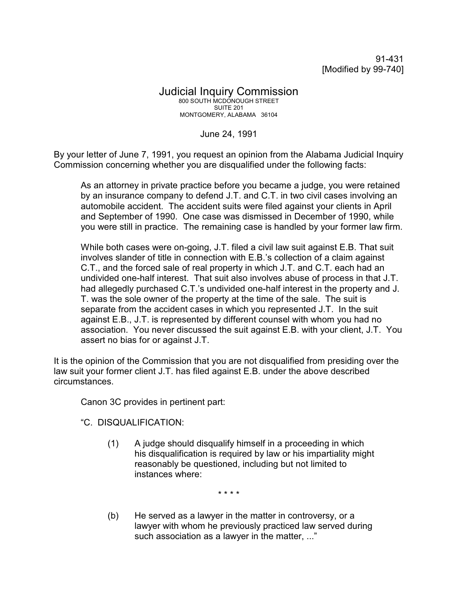91-431 [Modified by 99-740]

## Judicial Inquiry Commission 800 SOUTH MCDONOUGH STREET SUITE 201 MONTGOMERY, ALABAMA 36104

June 24, 1991

By your letter of June 7, 1991, you request an opinion from the Alabama Judicial Inquiry Commission concerning whether you are disqualified under the following facts:

As an attorney in private practice before you became a judge, you were retained by an insurance company to defend J.T. and C.T. in two civil cases involving an automobile accident. The accident suits were filed against your clients in April and September of 1990. One case was dismissed in December of 1990, while you were still in practice. The remaining case is handled by your former law firm.

While both cases were on-going, J.T. filed a civil law suit against E.B. That suit involves slander of title in connection with E.B.'s collection of a claim against C.T., and the forced sale of real property in which J.T. and C.T. each had an undivided one-half interest. That suit also involves abuse of process in that J.T. had allegedly purchased C.T.'s undivided one-half interest in the property and J. T. was the sole owner of the property at the time of the sale. The suit is separate from the accident cases in which you represented J.T. In the suit against E.B., J.T. is represented by different counsel with whom you had no association. You never discussed the suit against E.B. with your client, J.T. You assert no bias for or against J.T.

It is the opinion of the Commission that you are not disqualified from presiding over the law suit your former client J.T. has filed against E.B. under the above described circumstances.

Canon 3C provides in pertinent part:

"C. DISQUALIFICATION:

(1) A judge should disqualify himself in a proceeding in which his disqualification is required by law or his impartiality might reasonably be questioned, including but not limited to instances where:

\* \* \* \*

(b) He served as a lawyer in the matter in controversy, or a lawyer with whom he previously practiced law served during such association as a lawyer in the matter, ..."